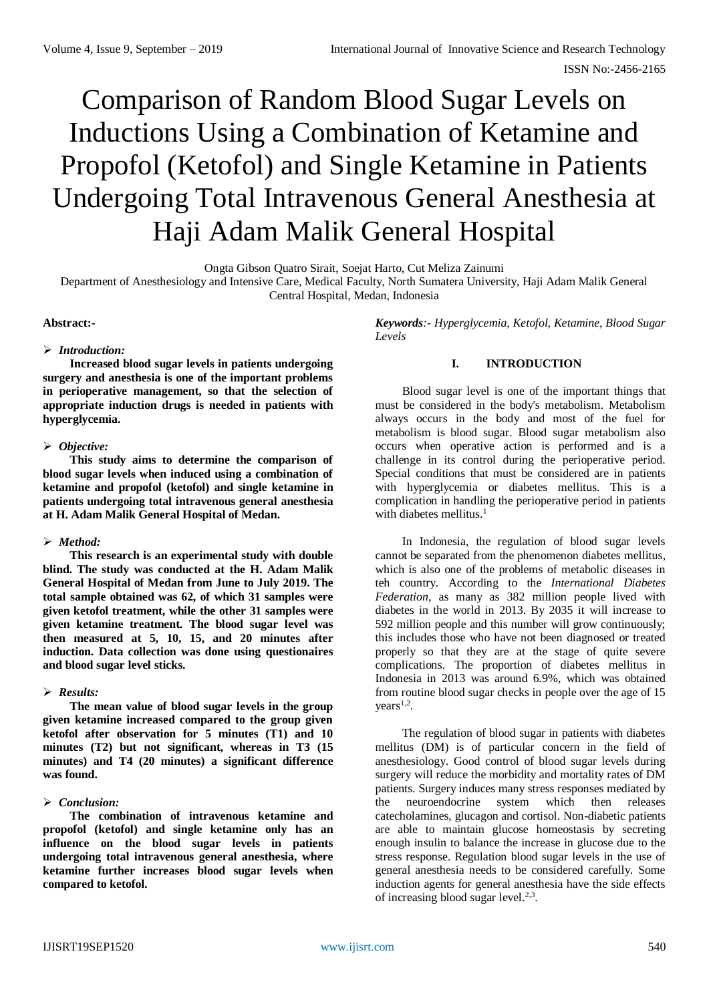# Comparison of Random Blood Sugar Levels on Inductions Using a Combination of Ketamine and Propofol (Ketofol) and Single Ketamine in Patients Undergoing Total Intravenous General Anesthesia at Haji Adam Malik General Hospital

Ongta Gibson Quatro Sirait, Soejat Harto, Cut Meliza Zainumi

Department of Anesthesiology and Intensive Care, Medical Faculty, North Sumatera University, Haji Adam Malik General Central Hospital, Medan, Indonesia

#### **Abstract:-**

#### *Introduction:*

**Increased blood sugar levels in patients undergoing surgery and anesthesia is one of the important problems in perioperative management, so that the selection of appropriate induction drugs is needed in patients with hyperglycemia.** 

## *Objective:*

**This study aims to determine the comparison of blood sugar levels when induced using a combination of ketamine and propofol (ketofol) and single ketamine in patients undergoing total intravenous general anesthesia at H. Adam Malik General Hospital of Medan.**

## *Method:*

**This research is an experimental study with double blind. The study was conducted at the H. Adam Malik General Hospital of Medan from June to July 2019. The total sample obtained was 62, of which 31 samples were given ketofol treatment, while the other 31 samples were given ketamine treatment. The blood sugar level was then measured at 5, 10, 15, and 20 minutes after induction. Data collection was done using questionaires and blood sugar level sticks.** 

## *Results:*

**The mean value of blood sugar levels in the group given ketamine increased compared to the group given ketofol after observation for 5 minutes (T1) and 10 minutes (T2) but not significant, whereas in T3 (15 minutes) and T4 (20 minutes) a significant difference was found.** 

## *Conclusion:*

**The combination of intravenous ketamine and propofol (ketofol) and single ketamine only has an influence on the blood sugar levels in patients undergoing total intravenous general anesthesia, where ketamine further increases blood sugar levels when compared to ketofol.**

*Keywords:- Hyperglycemia, Ketofol, Ketamine, Blood Sugar Levels*

# **I. INTRODUCTION**

Blood sugar level is one of the important things that must be considered in the body's metabolism. Metabolism always occurs in the body and most of the fuel for metabolism is blood sugar. Blood sugar metabolism also occurs when operative action is performed and is a challenge in its control during the perioperative period. Special conditions that must be considered are in patients with hyperglycemia or diabetes mellitus. This is a complication in handling the perioperative period in patients with diabetes mellitus. 1

In Indonesia, the regulation of blood sugar levels cannot be separated from the phenomenon diabetes mellitus, which is also one of the problems of metabolic diseases in teh country. According to the *International Diabetes Federation*, as many as 382 million people lived with diabetes in the world in 2013. By 2035 it will increase to 592 million people and this number will grow continuously; this includes those who have not been diagnosed or treated properly so that they are at the stage of quite severe complications. The proportion of diabetes mellitus in Indonesia in 2013 was around 6.9%, which was obtained from routine blood sugar checks in people over the age of 15  $years<sup>1,2</sup>$ .

The regulation of blood sugar in patients with diabetes mellitus (DM) is of particular concern in the field of anesthesiology. Good control of blood sugar levels during surgery will reduce the morbidity and mortality rates of DM patients. Surgery induces many stress responses mediated by the neuroendocrine system which then releases catecholamines, glucagon and cortisol. Non-diabetic patients are able to maintain glucose homeostasis by secreting enough insulin to balance the increase in glucose due to the stress response. Regulation blood sugar levels in the use of general anesthesia needs to be considered carefully. Some induction agents for general anesthesia have the side effects of increasing blood sugar level.<sup>2,3</sup>.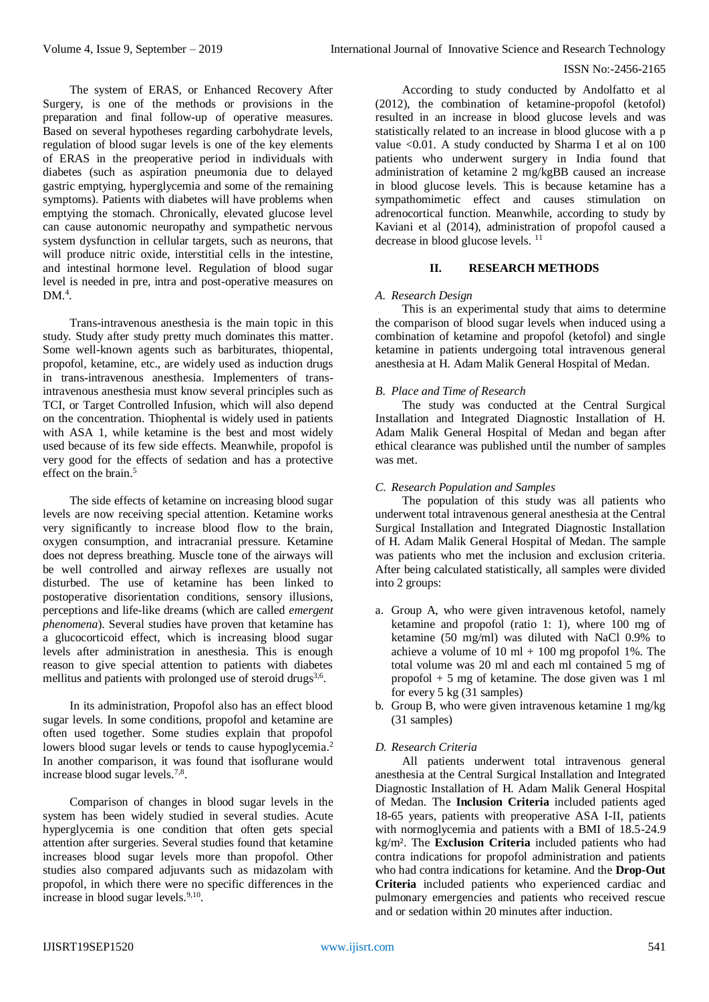#### ISSN No:-2456-2165

The system of ERAS, or Enhanced Recovery After Surgery, is one of the methods or provisions in the preparation and final follow-up of operative measures. Based on several hypotheses regarding carbohydrate levels, regulation of blood sugar levels is one of the key elements of ERAS in the preoperative period in individuals with diabetes (such as aspiration pneumonia due to delayed gastric emptying, hyperglycemia and some of the remaining symptoms). Patients with diabetes will have problems when emptying the stomach. Chronically, elevated glucose level can cause autonomic neuropathy and sympathetic nervous system dysfunction in cellular targets, such as neurons, that will produce nitric oxide, interstitial cells in the intestine, and intestinal hormone level. Regulation of blood sugar level is needed in pre, intra and post-operative measures on  $DM.<sup>4</sup>$ .

Trans-intravenous anesthesia is the main topic in this study. Study after study pretty much dominates this matter. Some well-known agents such as barbiturates, thiopental, propofol, ketamine, etc., are widely used as induction drugs in trans-intravenous anesthesia. Implementers of transintravenous anesthesia must know several principles such as TCI, or Target Controlled Infusion, which will also depend on the concentration. Thiophental is widely used in patients with ASA 1, while ketamine is the best and most widely used because of its few side effects. Meanwhile, propofol is very good for the effects of sedation and has a protective effect on the brain.<sup>5</sup>

The side effects of ketamine on increasing blood sugar levels are now receiving special attention. Ketamine works very significantly to increase blood flow to the brain, oxygen consumption, and intracranial pressure. Ketamine does not depress breathing. Muscle tone of the airways will be well controlled and airway reflexes are usually not disturbed. The use of ketamine has been linked to postoperative disorientation conditions, sensory illusions, perceptions and life-like dreams (which are called *emergent phenomena*). Several studies have proven that ketamine has a glucocorticoid effect, which is increasing blood sugar levels after administration in anesthesia. This is enough reason to give special attention to patients with diabetes mellitus and patients with prolonged use of steroid drugs<sup>3,6</sup>.

In its administration, Propofol also has an effect blood sugar levels. In some conditions, propofol and ketamine are often used together. Some studies explain that propofol lowers blood sugar levels or tends to cause hypoglycemia.<sup>2</sup> In another comparison, it was found that isoflurane would increase blood sugar levels.<sup>7,8</sup>.

Comparison of changes in blood sugar levels in the system has been widely studied in several studies. Acute hyperglycemia is one condition that often gets special attention after surgeries. Several studies found that ketamine increases blood sugar levels more than propofol. Other studies also compared adjuvants such as midazolam with propofol, in which there were no specific differences in the increase in blood sugar levels.<sup>9,10</sup>.

According to study conducted by Andolfatto et al (2012), the combination of ketamine-propofol (ketofol) resulted in an increase in blood glucose levels and was statistically related to an increase in blood glucose with a p value  $\leq 0.01$ . A study conducted by Sharma I et al on 100 patients who underwent surgery in India found that administration of ketamine 2 mg/kgBB caused an increase in blood glucose levels. This is because ketamine has a sympathomimetic effect and causes stimulation on adrenocortical function. Meanwhile, according to study by Kaviani et al (2014), administration of propofol caused a decrease in blood glucose levels. <sup>11</sup>

# **II. RESEARCH METHODS**

## *A. Research Design*

This is an experimental study that aims to determine the comparison of blood sugar levels when induced using a combination of ketamine and propofol (ketofol) and single ketamine in patients undergoing total intravenous general anesthesia at H. Adam Malik General Hospital of Medan.

## *B. Place and Time of Research*

The study was conducted at the Central Surgical Installation and Integrated Diagnostic Installation of H. Adam Malik General Hospital of Medan and began after ethical clearance was published until the number of samples was met.

## *C. Research Population and Samples*

The population of this study was all patients who underwent total intravenous general anesthesia at the Central Surgical Installation and Integrated Diagnostic Installation of H. Adam Malik General Hospital of Medan. The sample was patients who met the inclusion and exclusion criteria. After being calculated statistically, all samples were divided into 2 groups:

- a. Group A, who were given intravenous ketofol, namely ketamine and propofol (ratio 1: 1), where 100 mg of ketamine (50 mg/ml) was diluted with NaCl 0.9% to achieve a volume of  $10 \text{ ml} + 100 \text{ mg}$  propofol 1%. The total volume was 20 ml and each ml contained 5 mg of propofol + 5 mg of ketamine. The dose given was 1 ml for every 5 kg (31 samples)
- b. Group B, who were given intravenous ketamine 1 mg/kg (31 samples)

# *D. Research Criteria*

All patients underwent total intravenous general anesthesia at the Central Surgical Installation and Integrated Diagnostic Installation of H. Adam Malik General Hospital of Medan. The **Inclusion Criteria** included patients aged 18-65 years, patients with preoperative ASA I-II, patients with normoglycemia and patients with a BMI of 18.5-24.9 kg/m². The **Exclusion Criteria** included patients who had contra indications for propofol administration and patients who had contra indications for ketamine. And the **Drop-Out Criteria** included patients who experienced cardiac and pulmonary emergencies and patients who received rescue and or sedation within 20 minutes after induction.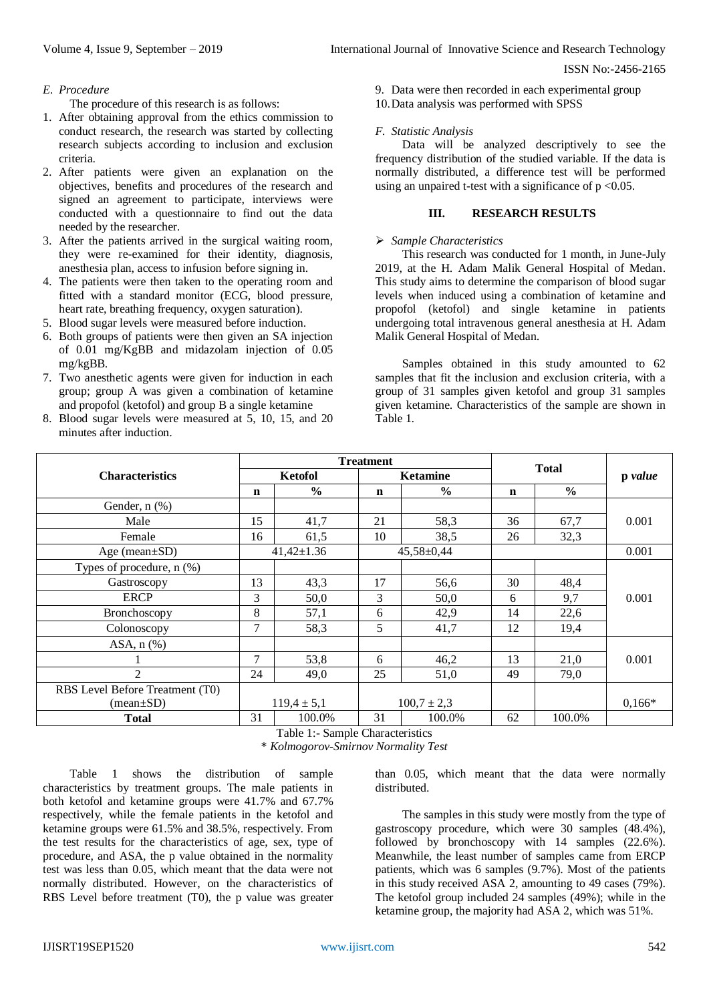## *E. Procedure*

The procedure of this research is as follows:

- 1. After obtaining approval from the ethics commission to conduct research, the research was started by collecting research subjects according to inclusion and exclusion criteria.
- 2. After patients were given an explanation on the objectives, benefits and procedures of the research and signed an agreement to participate, interviews were conducted with a questionnaire to find out the data needed by the researcher.
- 3. After the patients arrived in the surgical waiting room, they were re-examined for their identity, diagnosis, anesthesia plan, access to infusion before signing in.
- 4. The patients were then taken to the operating room and fitted with a standard monitor (ECG, blood pressure, heart rate, breathing frequency, oxygen saturation).
- 5. Blood sugar levels were measured before induction.
- 6. Both groups of patients were then given an SA injection of 0.01 mg/KgBB and midazolam injection of 0.05 mg/kgBB.
- 7. Two anesthetic agents were given for induction in each group; group A was given a combination of ketamine and propofol (ketofol) and group B a single ketamine
- 8. Blood sugar levels were measured at 5, 10, 15, and 20 minutes after induction.

9. Data were then recorded in each experimental group 10.Data analysis was performed with SPSS

# *F. Statistic Analysis*

Data will be analyzed descriptively to see the frequency distribution of the studied variable. If the data is normally distributed, a difference test will be performed using an unpaired t-test with a significance of  $p < 0.05$ .

# **III. RESEARCH RESULTS**

## *Sample Characteristics*

This research was conducted for 1 month, in June-July 2019, at the H. Adam Malik General Hospital of Medan. This study aims to determine the comparison of blood sugar levels when induced using a combination of ketamine and propofol (ketofol) and single ketamine in patients undergoing total intravenous general anesthesia at H. Adam Malik General Hospital of Medan*.*

Samples obtained in this study amounted to 62 samples that fit the inclusion and exclusion criteria, with a group of 31 samples given ketofol and group 31 samples given ketamine. Characteristics of the sample are shown in Table 1.

|                                 | <b>Treatment</b> |                  |                 |                  |              |               |          |
|---------------------------------|------------------|------------------|-----------------|------------------|--------------|---------------|----------|
| <b>Characteristics</b>          | <b>Ketofol</b>   |                  | <b>Ketamine</b> |                  | <b>Total</b> |               | p value  |
|                                 | n                | $\frac{0}{0}$    | n               | $\frac{0}{0}$    | $\mathbf n$  | $\frac{0}{0}$ |          |
| Gender, n (%)                   |                  |                  |                 |                  |              |               |          |
| Male                            | 15               | 41,7             | 21              | 58,3             | 36           | 67,7          | 0.001    |
| Female                          | 16               | 61,5             | 10              | 38,5             | 26           | 32,3          |          |
| Age (mean $\pm$ SD)             |                  | $41,42 \pm 1.36$ |                 | $45,58 \pm 0,44$ |              |               | 0.001    |
| Types of procedure, n (%)       |                  |                  |                 |                  |              |               |          |
| Gastroscopy                     | 13               | 43,3             | 17              | 56,6             | 30           | 48,4          |          |
| <b>ERCP</b>                     | 3                | 50,0             | 3               | 50,0             | 6            | 9,7           | 0.001    |
| <b>Bronchoscopy</b>             | 8                | 57,1             | 6               | 42,9             | 14           | 22,6          |          |
| Colonoscopy                     | 7                | 58,3             | 5               | 41,7             | 12           | 19,4          |          |
| ASA, $n$ $%$                    |                  |                  |                 |                  |              |               |          |
|                                 | $\tau$           | 53,8             | 6               | 46,2             | 13           | 21,0          | 0.001    |
| $\overline{2}$                  | 24               | 49,0             | 25              | 51,0             | 49           | 79,0          |          |
| RBS Level Before Treatment (T0) |                  |                  |                 |                  |              |               |          |
| $(mean \pm SD)$                 |                  | $119,4 \pm 5,1$  |                 | $100,7 \pm 2,3$  |              |               | $0,166*$ |
| <b>Total</b>                    | 31               | 100.0%           | 31              | 100.0%           | 62           | 100.0%        |          |

Table 1:- Sample Characteristics

\* *Kolmogorov-Smirnov Normality Test*

Table 1 shows the distribution of sample characteristics by treatment groups. The male patients in both ketofol and ketamine groups were 41.7% and 67.7% respectively, while the female patients in the ketofol and ketamine groups were 61.5% and 38.5%, respectively. From the test results for the characteristics of age, sex, type of procedure, and ASA, the p value obtained in the normality test was less than 0.05, which meant that the data were not normally distributed. However, on the characteristics of RBS Level before treatment (T0), the p value was greater than 0.05, which meant that the data were normally distributed.

The samples in this study were mostly from the type of gastroscopy procedure, which were 30 samples (48.4%), followed by bronchoscopy with 14 samples (22.6%). Meanwhile, the least number of samples came from ERCP patients, which was 6 samples (9.7%). Most of the patients in this study received ASA 2, amounting to 49 cases (79%). The ketofol group included 24 samples (49%); while in the ketamine group, the majority had ASA 2, which was 51%.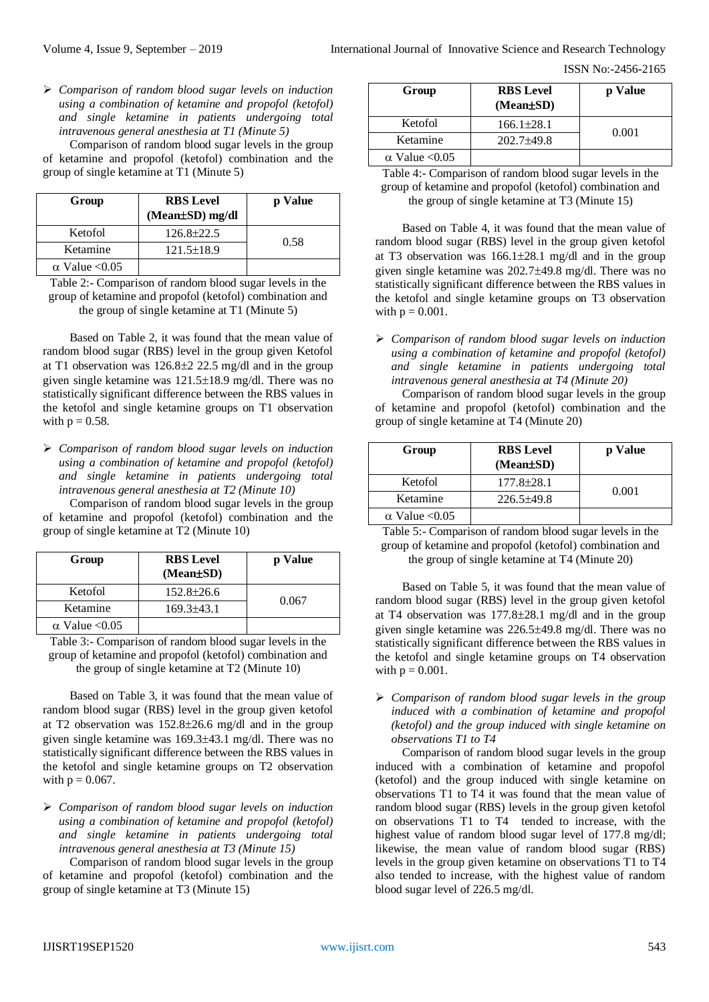ISSN No:-2456-2165

 *Comparison of random blood sugar levels on induction using a combination of ketamine and propofol (ketofol) and single ketamine in patients undergoing total intravenous general anesthesia at T1 (Minute 5)*

Comparison of random blood sugar levels in the group of ketamine and propofol (ketofol) combination and the group of single ketamine at T1 (Minute 5)

| Group                 | <b>RBS</b> Level<br>(Mean±SD) mg/dl | p Value |
|-----------------------|-------------------------------------|---------|
| Ketofol               | $126.8 \pm 22.5$                    | 0.58    |
| Ketamine              | $121.5 \pm 18.9$                    |         |
| $\alpha$ Value < 0.05 |                                     |         |

Table 2:- Comparison of random blood sugar levels in the group of ketamine and propofol (ketofol) combination and the group of single ketamine at T1 (Minute 5)

Based on Table 2, it was found that the mean value of random blood sugar (RBS) level in the group given Ketofol at T1 observation was  $126.8\pm 2.22.5$  mg/dl and in the group given single ketamine was  $121.5\pm18.9$  mg/dl. There was no statistically significant difference between the RBS values in the ketofol and single ketamine groups on T1 observation with  $p = 0.58$ .

 *Comparison of random blood sugar levels on induction using a combination of ketamine and propofol (ketofol) and single ketamine in patients undergoing total intravenous general anesthesia at T2 (Minute 10)*

Comparison of random blood sugar levels in the group of ketamine and propofol (ketofol) combination and the group of single ketamine at T2 (Minute 10)

| Group                 | <b>RBS</b> Level<br>(Mean±SD) | p Value |  |
|-----------------------|-------------------------------|---------|--|
| Ketofol               | $152.8 \pm 26.6$              |         |  |
| Ketamine              | $169.3\pm43.1$                | 0.067   |  |
| $\alpha$ Value < 0.05 |                               |         |  |

Table 3:- Comparison of random blood sugar levels in the group of ketamine and propofol (ketofol) combination and the group of single ketamine at T2 (Minute 10)

Based on Table 3, it was found that the mean value of random blood sugar (RBS) level in the group given ketofol at T2 observation was  $152.8 \pm 26.6$  mg/dl and in the group given single ketamine was 169.343.1 mg/dl. There was no statistically significant difference between the RBS values in the ketofol and single ketamine groups on T2 observation with  $p = 0.067$ .

 *Comparison of random blood sugar levels on induction using a combination of ketamine and propofol (ketofol) and single ketamine in patients undergoing total intravenous general anesthesia at T3 (Minute 15)*

Comparison of random blood sugar levels in the group of ketamine and propofol (ketofol) combination and the group of single ketamine at T3 (Minute 15)

| Group                 | <b>RBS</b> Level<br>$(Mean \pm SD)$ | p Value |  |
|-----------------------|-------------------------------------|---------|--|
| Ketofol               | $166.1 \pm 28.1$                    |         |  |
| Ketamine              | $202.7 + 49.8$                      | 0.001   |  |
| $\alpha$ Value < 0.05 |                                     |         |  |

Table 4:- Comparison of random blood sugar levels in the group of ketamine and propofol (ketofol) combination and the group of single ketamine at T3 (Minute 15)

Based on Table 4, it was found that the mean value of random blood sugar (RBS) level in the group given ketofol at T3 observation was  $166.1 \pm 28.1$  mg/dl and in the group given single ketamine was  $202.7 \pm 49.8$  mg/dl. There was no statistically significant difference between the RBS values in the ketofol and single ketamine groups on T3 observation with  $p = 0.001$ .

 *Comparison of random blood sugar levels on induction using a combination of ketamine and propofol (ketofol) and single ketamine in patients undergoing total intravenous general anesthesia at T4 (Minute 20)*

Comparison of random blood sugar levels in the group of ketamine and propofol (ketofol) combination and the group of single ketamine at T4 (Minute 20)

| Group                 | <b>RBS</b> Level<br>(Mean±SD) | p Value |  |
|-----------------------|-------------------------------|---------|--|
| Ketofol               | $177.8 \pm 28.1$              |         |  |
| Ketamine              | $226.5 \pm 49.8$              | 0.001   |  |
| $\alpha$ Value < 0.05 |                               |         |  |

Table 5:- Comparison of random blood sugar levels in the group of ketamine and propofol (ketofol) combination and the group of single ketamine at T4 (Minute 20)

Based on Table 5, it was found that the mean value of random blood sugar (RBS) level in the group given ketofol at T4 observation was  $177.8 \pm 28.1$  mg/dl and in the group given single ketamine was 226.5±49.8 mg/dl. There was no statistically significant difference between the RBS values in the ketofol and single ketamine groups on T4 observation with  $p = 0.001$ .

 *Comparison of random blood sugar levels in the group induced with a combination of ketamine and propofol (ketofol) and the group induced with single ketamine on observations T1 to T4*

Comparison of random blood sugar levels in the group induced with a combination of ketamine and propofol (ketofol) and the group induced with single ketamine on observations T1 to T4 it was found that the mean value of random blood sugar (RBS) levels in the group given ketofol on observations T1 to T4 tended to increase, with the highest value of random blood sugar level of 177.8 mg/dl; likewise, the mean value of random blood sugar (RBS) levels in the group given ketamine on observations T1 to T4 also tended to increase, with the highest value of random blood sugar level of 226.5 mg/dl.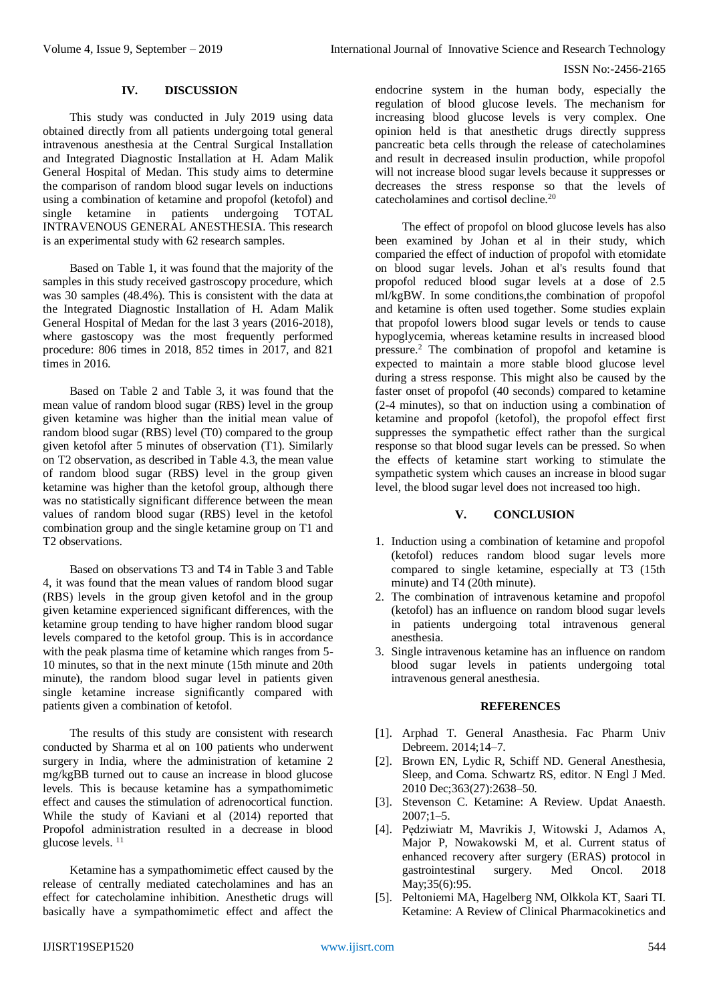#### ISSN No:-2456-2165

## **IV. DISCUSSION**

This study was conducted in July 2019 using data obtained directly from all patients undergoing total general intravenous anesthesia at the Central Surgical Installation and Integrated Diagnostic Installation at H. Adam Malik General Hospital of Medan. This study aims to determine the comparison of random blood sugar levels on inductions using a combination of ketamine and propofol (ketofol) and single ketamine in patients undergoing TOTAL INTRAVENOUS GENERAL ANESTHESIA. This research is an experimental study with 62 research samples.

Based on Table 1, it was found that the majority of the samples in this study received gastroscopy procedure, which was 30 samples (48.4%). This is consistent with the data at the Integrated Diagnostic Installation of H. Adam Malik General Hospital of Medan for the last 3 years (2016-2018), where gastoscopy was the most frequently performed procedure: 806 times in 2018, 852 times in 2017, and 821 times in 2016.

Based on Table 2 and Table 3, it was found that the mean value of random blood sugar (RBS) level in the group given ketamine was higher than the initial mean value of random blood sugar (RBS) level (T0) compared to the group given ketofol after 5 minutes of observation (T1). Similarly on T2 observation, as described in Table 4.3, the mean value of random blood sugar (RBS) level in the group given ketamine was higher than the ketofol group, although there was no statistically significant difference between the mean values of random blood sugar (RBS) level in the ketofol combination group and the single ketamine group on T1 and T2 observations.

Based on observations T3 and T4 in Table 3 and Table 4, it was found that the mean values of random blood sugar (RBS) levels in the group given ketofol and in the group given ketamine experienced significant differences, with the ketamine group tending to have higher random blood sugar levels compared to the ketofol group. This is in accordance with the peak plasma time of ketamine which ranges from 5- 10 minutes, so that in the next minute (15th minute and 20th minute), the random blood sugar level in patients given single ketamine increase significantly compared with patients given a combination of ketofol.

The results of this study are consistent with research conducted by Sharma et al on 100 patients who underwent surgery in India, where the administration of ketamine 2 mg/kgBB turned out to cause an increase in blood glucose levels. This is because ketamine has a sympathomimetic effect and causes the stimulation of adrenocortical function. While the study of Kaviani et al (2014) reported that Propofol administration resulted in a decrease in blood glucose levels. 11

Ketamine has a sympathomimetic effect caused by the release of centrally mediated catecholamines and has an effect for catecholamine inhibition. Anesthetic drugs will basically have a sympathomimetic effect and affect the

endocrine system in the human body, especially the regulation of blood glucose levels. The mechanism for increasing blood glucose levels is very complex. One opinion held is that anesthetic drugs directly suppress pancreatic beta cells through the release of catecholamines and result in decreased insulin production, while propofol will not increase blood sugar levels because it suppresses or decreases the stress response so that the levels of catecholamines and cortisol decline.<sup>20</sup>

The effect of propofol on blood glucose levels has also been examined by Johan et al in their study, which comparied the effect of induction of propofol with etomidate on blood sugar levels. Johan et al's results found that propofol reduced blood sugar levels at a dose of 2.5 ml/kgBW. In some conditions,the combination of propofol and ketamine is often used together. Some studies explain that propofol lowers blood sugar levels or tends to cause hypoglycemia, whereas ketamine results in increased blood pressure.<sup>2</sup> The combination of propofol and ketamine is expected to maintain a more stable blood glucose level during a stress response. This might also be caused by the faster onset of propofol (40 seconds) compared to ketamine (2-4 minutes), so that on induction using a combination of ketamine and propofol (ketofol), the propofol effect first suppresses the sympathetic effect rather than the surgical response so that blood sugar levels can be pressed. So when the effects of ketamine start working to stimulate the sympathetic system which causes an increase in blood sugar level, the blood sugar level does not increased too high.

## **V. CONCLUSION**

- 1. Induction using a combination of ketamine and propofol (ketofol) reduces random blood sugar levels more compared to single ketamine, especially at T3 (15th minute) and T4 (20th minute).
- 2. The combination of intravenous ketamine and propofol (ketofol) has an influence on random blood sugar levels in patients undergoing total intravenous general anesthesia.
- 3. Single intravenous ketamine has an influence on random blood sugar levels in patients undergoing total intravenous general anesthesia.

#### **REFERENCES**

- [1]. Arphad T. General Anasthesia. Fac Pharm Univ Debreem. 2014;14–7.
- [2]. Brown EN, Lydic R, Schiff ND. General Anesthesia, Sleep, and Coma. Schwartz RS, editor. N Engl J Med. 2010 Dec;363(27):2638–50.
- [3]. Stevenson C. Ketamine: A Review. Updat Anaesth.  $2007:1-5$ .
- [4]. Pędziwiatr M, Mavrikis J, Witowski J, Adamos A, Major P, Nowakowski M, et al. Current status of enhanced recovery after surgery (ERAS) protocol in gastrointestinal surgery. Med Oncol. 2018 May;35(6):95.
- [5]. Peltoniemi MA, Hagelberg NM, Olkkola KT, Saari TI. Ketamine: A Review of Clinical Pharmacokinetics and